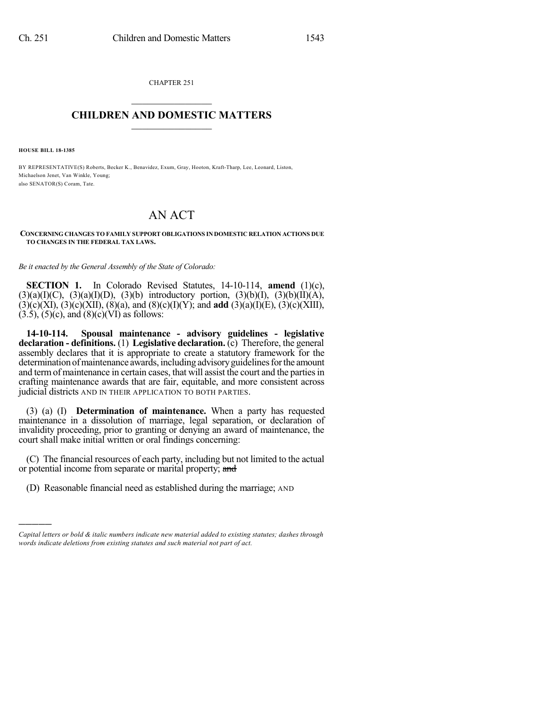CHAPTER 251  $\overline{\phantom{a}}$  . The set of the set of the set of the set of the set of the set of the set of the set of the set of the set of the set of the set of the set of the set of the set of the set of the set of the set of the set o

## **CHILDREN AND DOMESTIC MATTERS**  $\_$

**HOUSE BILL 18-1385**

)))))

BY REPRESENTATIVE(S) Roberts, Becker K., Benavidez, Exum, Gray, Hooton, Kraft-Tharp, Lee, Leonard, Liston, Michaelson Jenet, Van Winkle, Young; also SENATOR(S) Coram, Tate.

## AN ACT

**CONCERNING CHANGES TO FAMILY SUPPORT OBLIGATIONS IN DOMESTIC RELATION ACTIONS DUE TO CHANGES IN THE FEDERAL TAX LAWS.**

*Be it enacted by the General Assembly of the State of Colorado:*

**SECTION 1.** In Colorado Revised Statutes, 14-10-114, **amend** (1)(c),  $(3)(a)(I)(C)$ ,  $(3)(a)(I)(D)$ ,  $(3)(b)$  introductory portion,  $(3)(b)(I)$ ,  $(3)(b)(II)(A)$ , (3)(c)(XI), (3)(c)(XII), (8)(a), and (8)(c)(I)(Y); and **add** (3)(a)(I)(E), (3)(c)(XIII),  $(3.5)$ ,  $(5)(c)$ , and  $(8)(c)(\overline{VI})$  as follows:

**14-10-114. Spousal maintenance - advisory guidelines - legislative declaration - definitions.** (1) **Legislative declaration.** (c) Therefore, the general assembly declares that it is appropriate to create a statutory framework for the determination of maintenance awards, including advisory guidelines for the amount and termof maintenance in certain cases, that will assist the court and the partiesin crafting maintenance awards that are fair, equitable, and more consistent across judicial districts AND IN THEIR APPLICATION TO BOTH PARTIES.

(3) (a) (I) **Determination of maintenance.** When a party has requested maintenance in a dissolution of marriage, legal separation, or declaration of invalidity proceeding, prior to granting or denying an award of maintenance, the court shall make initial written or oral findings concerning:

(C) The financial resources of each party, including but not limited to the actual or potential income from separate or marital property; and

(D) Reasonable financial need as established during the marriage; AND

*Capital letters or bold & italic numbers indicate new material added to existing statutes; dashes through words indicate deletions from existing statutes and such material not part of act.*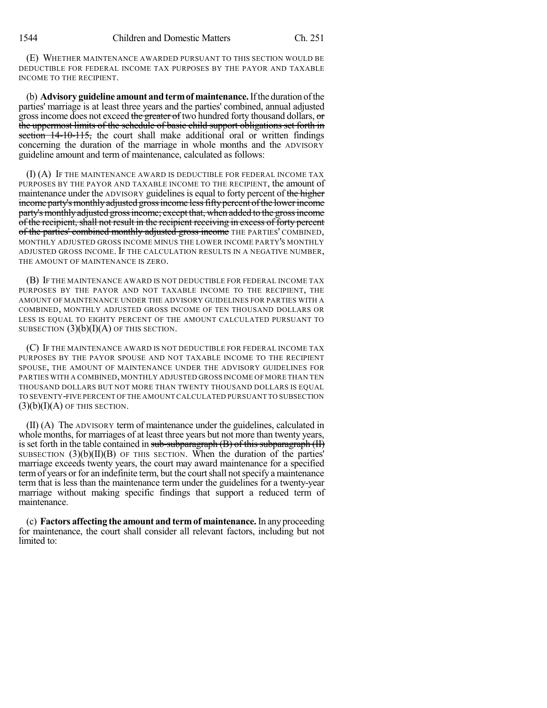(E) WHETHER MAINTENANCE AWARDED PURSUANT TO THIS SECTION WOULD BE DEDUCTIBLE FOR FEDERAL INCOME TAX PURPOSES BY THE PAYOR AND TAXABLE INCOME TO THE RECIPIENT.

(b) **Advisory guideline amount andtermof maintenance.**Ifthe duration ofthe parties' marriage is at least three years and the parties' combined, annual adjusted gross income does not exceed the greater of two hundred forty thousand dollars, or the uppermost limits of the schedule of basic child support obligations set forth in section 14-10-115, the court shall make additional oral or written findings concerning the duration of the marriage in whole months and the ADVISORY guideline amount and term of maintenance, calculated as follows:

(I) (A) IF THE MAINTENANCE AWARD IS DEDUCTIBLE FOR FEDERAL INCOME TAX PURPOSES BY THE PAYOR AND TAXABLE INCOME TO THE RECIPIENT, the amount of maintenance under the ADVISORY guidelines is equal to forty percent of the higher income party's monthly adjusted gross income less fifty percent of the lower income party's monthly adjusted gross income; except that, when added to the gross income of the recipient, shall not result in the recipient receiving in excess of forty percent of the parties' combined monthly adjusted gross income THE PARTIES' COMBINED, MONTHLY ADJUSTED GROSS INCOME MINUS THE LOWER INCOME PARTY'S MONTHLY ADJUSTED GROSS INCOME. IF THE CALCULATION RESULTS IN A NEGATIVE NUMBER, THE AMOUNT OF MAINTENANCE IS ZERO.

(B) IF THE MAINTENANCE AWARD IS NOT DEDUCTIBLE FOR FEDERAL INCOME TAX PURPOSES BY THE PAYOR AND NOT TAXABLE INCOME TO THE RECIPIENT, THE AMOUNT OF MAINTENANCE UNDER THE ADVISORY GUIDELINES FOR PARTIES WITH A COMBINED, MONTHLY ADJUSTED GROSS INCOME OF TEN THOUSAND DOLLARS OR LESS IS EQUAL TO EIGHTY PERCENT OF THE AMOUNT CALCULATED PURSUANT TO SUBSECTION  $(3)(b)(I)(A)$  OF THIS SECTION.

(C) IF THE MAINTENANCE AWARD IS NOT DEDUCTIBLE FOR FEDERAL INCOME TAX PURPOSES BY THE PAYOR SPOUSE AND NOT TAXABLE INCOME TO THE RECIPIENT SPOUSE, THE AMOUNT OF MAINTENANCE UNDER THE ADVISORY GUIDELINES FOR PARTIES WITH A COMBINED, MONTHLY ADJUSTED GROSS INCOME OF MORE THAN TEN THOUSAND DOLLARS BUT NOT MORE THAN TWENTY THOUSAND DOLLARS IS EQUAL TO SEVENTY-FIVE PERCENT OFTHE AMOUNT CALCULATED PURSUANT TO SUBSECTION  $(3)(b)(I)(A)$  of this section.

(II) (A) The ADVISORY term of maintenance under the guidelines, calculated in whole months, for marriages of at least three years but not more than twenty years, is set forth in the table contained in  $sub-subparagraph(B)$  of this subparagraph  $(H)$ SUBSECTION  $(3)(b)(II)(B)$  OF THIS SECTION. When the duration of the parties' marriage exceeds twenty years, the court may award maintenance for a specified term of years or for an indefinite term, but the court shall not specify a maintenance term that is less than the maintenance term under the guidelines for a twenty-year marriage without making specific findings that support a reduced term of maintenance.

(c) **Factors affecting the amount and termof maintenance.**In any proceeding for maintenance, the court shall consider all relevant factors, including but not limited to: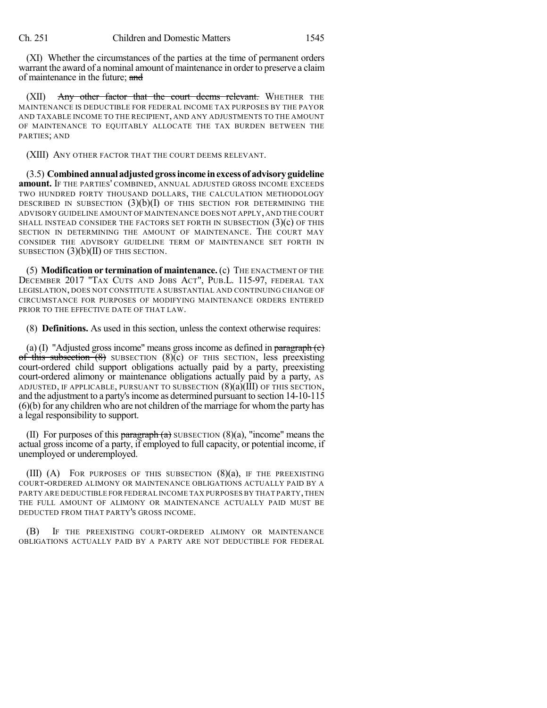(XI) Whether the circumstances of the parties at the time of permanent orders warrant the award of a nominal amount of maintenance in order to preserve a claim of maintenance in the future; and

(XII) Any other factor that the court deems relevant. WHETHER THE MAINTENANCE IS DEDUCTIBLE FOR FEDERAL INCOME TAX PURPOSES BY THE PAYOR AND TAXABLE INCOME TO THE RECIPIENT, AND ANY ADJUSTMENTS TO THE AMOUNT OF MAINTENANCE TO EQUITABLY ALLOCATE THE TAX BURDEN BETWEEN THE PARTIES; AND

(XIII) ANY OTHER FACTOR THAT THE COURT DEEMS RELEVANT.

(3.5) **Combinedannualadjustedgrossincome inexcessof advisoryguideline amount.** IF THE PARTIES' COMBINED, ANNUAL ADJUSTED GROSS INCOME EXCEEDS TWO HUNDRED FORTY THOUSAND DOLLARS, THE CALCULATION METHODOLOGY DESCRIBED IN SUBSECTION  $(3)(b)(I)$  of this section for determining the ADVISORY GUIDELINE AMOUNT OF MAINTENANCE DOES NOT APPLY, AND THE COURT SHALL INSTEAD CONSIDER THE FACTORS SET FORTH IN SUBSECTION  $(3)(c)$  OF THIS SECTION IN DETERMINING THE AMOUNT OF MAINTENANCE. THE COURT MAY CONSIDER THE ADVISORY GUIDELINE TERM OF MAINTENANCE SET FORTH IN SUBSECTION  $(3)(b)(II)$  OF THIS SECTION.

(5) **Modification or termination of maintenance.** (c) THE ENACTMENT OF THE DECEMBER 2017 "TAX CUTS AND JOBS ACT", PUB.L. 115-97, FEDERAL TAX LEGISLATION, DOES NOT CONSTITUTE A SUBSTANTIAL AND CONTINUING CHANGE OF CIRCUMSTANCE FOR PURPOSES OF MODIFYING MAINTENANCE ORDERS ENTERED PRIOR TO THE EFFECTIVE DATE OF THAT LAW.

(8) **Definitions.** As used in this section, unless the context otherwise requires:

(a) (I) "Adjusted gross income" means gross income as defined in paragraph  $(c)$ of this subsection  $(8)$  SUBSECTION  $(8)$ (c) OF THIS SECTION, less preexisting court-ordered child support obligations actually paid by a party, preexisting court-ordered alimony or maintenance obligations actually paid by a party, AS ADJUSTED, IF APPLICABLE, PURSUANT TO SUBSECTION  $(8)(a)(III)$  OF THIS SECTION, and the adjustment to a party's income as determined pursuant to section 14-10-115 (6)(b) for any children who are not children of the marriage for whomthe party has a legal responsibility to support.

(II) For purposes of this paragraph  $(a)$  SUBSECTION  $(8)(a)$ , "income" means the actual gross income of a party, if employed to full capacity, or potential income, if unemployed or underemployed.

(III)  $(A)$  FOR PURPOSES OF THIS SUBSECTION  $(8)(a)$ , IF THE PREEXISTING COURT-ORDERED ALIMONY OR MAINTENANCE OBLIGATIONS ACTUALLY PAID BY A PARTY ARE DEDUCTIBLE FOR FEDERAL INCOME TAX PURPOSES BY THAT PARTY, THEN THE FULL AMOUNT OF ALIMONY OR MAINTENANCE ACTUALLY PAID MUST BE DEDUCTED FROM THAT PARTY'S GROSS INCOME.

(B) IF THE PREEXISTING COURT-ORDERED ALIMONY OR MAINTENANCE OBLIGATIONS ACTUALLY PAID BY A PARTY ARE NOT DEDUCTIBLE FOR FEDERAL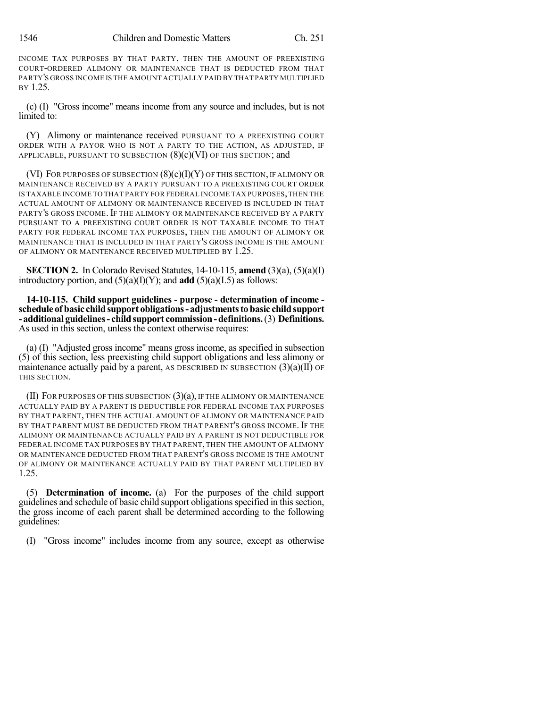INCOME TAX PURPOSES BY THAT PARTY, THEN THE AMOUNT OF PREEXISTING COURT-ORDERED ALIMONY OR MAINTENANCE THAT IS DEDUCTED FROM THAT PARTY'S GROSS INCOME IS THE AMOUNT ACTUALLY PAID BY THAT PARTY MULTIPLIED BY 1.25.

(c) (I) "Gross income" means income from any source and includes, but is not limited to:

(Y) Alimony or maintenance received PURSUANT TO A PREEXISTING COURT ORDER WITH A PAYOR WHO IS NOT A PARTY TO THE ACTION, AS ADJUSTED, IF APPLICABLE, PURSUANT TO SUBSECTION  $(8)(c)(VI)$  OF THIS SECTION; and

(VI) FOR PURPOSES OF SUBSECTION  $(8)(c)(I)(Y)$  of this section, if alimony or MAINTENANCE RECEIVED BY A PARTY PURSUANT TO A PREEXISTING COURT ORDER IS TAXABLE INCOME TO THAT PARTY FOR FEDERAL INCOME TAX PURPOSES,THEN THE ACTUAL AMOUNT OF ALIMONY OR MAINTENANCE RECEIVED IS INCLUDED IN THAT PARTY'S GROSS INCOME. IF THE ALIMONY OR MAINTENANCE RECEIVED BY A PARTY PURSUANT TO A PREEXISTING COURT ORDER IS NOT TAXABLE INCOME TO THAT PARTY FOR FEDERAL INCOME TAX PURPOSES, THEN THE AMOUNT OF ALIMONY OR MAINTENANCE THAT IS INCLUDED IN THAT PARTY'S GROSS INCOME IS THE AMOUNT OF ALIMONY OR MAINTENANCE RECEIVED MULTIPLIED BY 1.25.

**SECTION 2.** In Colorado Revised Statutes, 14-10-115, **amend** (3)(a), (5)(a)(I) introductory portion, and  $(5)(a)(I)(Y)$ ; and **add**  $(5)(a)(I.5)$  as follows:

**14-10-115. Child support guidelines - purpose - determination of income schedule of basic childsupport obligations- adjustmentstobasic childsupport - additional guidelines- childsupport commission-definitions.**(3) **Definitions.** As used in this section, unless the context otherwise requires:

(a) (I) "Adjusted gross income" means gross income, as specified in subsection (5) of this section, less preexisting child support obligations and less alimony or maintenance actually paid by a parent, AS DESCRIBED IN SUBSECTION  $(3)(a)(II)$  OF THIS SECTION.

 $(II)$  For purposes of this subsection  $(3)(a)$ , if the alimony or maintenance ACTUALLY PAID BY A PARENT IS DEDUCTIBLE FOR FEDERAL INCOME TAX PURPOSES BY THAT PARENT, THEN THE ACTUAL AMOUNT OF ALIMONY OR MAINTENANCE PAID BY THAT PARENT MUST BE DEDUCTED FROM THAT PARENT'S GROSS INCOME. IF THE ALIMONY OR MAINTENANCE ACTUALLY PAID BY A PARENT IS NOT DEDUCTIBLE FOR FEDERAL INCOME TAX PURPOSES BY THAT PARENT, THEN THE AMOUNT OF ALIMONY OR MAINTENANCE DEDUCTED FROM THAT PARENT'S GROSS INCOME IS THE AMOUNT OF ALIMONY OR MAINTENANCE ACTUALLY PAID BY THAT PARENT MULTIPLIED BY 1.25.

(5) **Determination of income.** (a) For the purposes of the child support guidelines and schedule of basic child support obligationsspecified in thissection, the gross income of each parent shall be determined according to the following guidelines:

(I) "Gross income" includes income from any source, except as otherwise